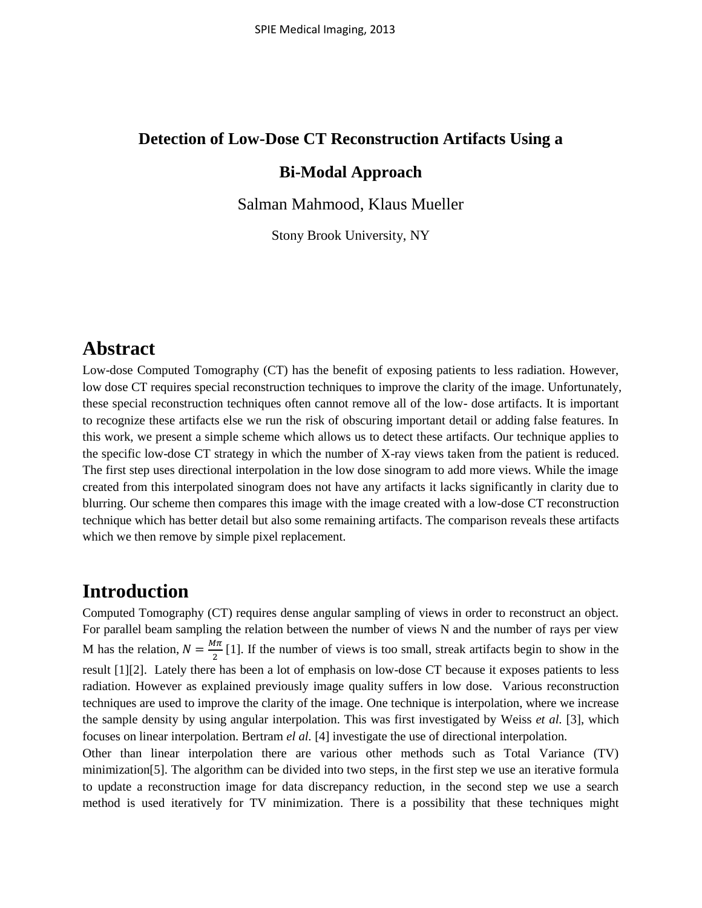# **Detection of Low-Dose CT Reconstruction Artifacts Using a Bi-Modal Approach**

Salman Mahmood, Klaus Mueller

Stony Brook University, NY

#### **Abstract**

Low-dose Computed Tomography (CT) has the benefit of exposing patients to less radiation. However, low dose CT requires special reconstruction techniques to improve the clarity of the image. Unfortunately, these special reconstruction techniques often cannot remove all of the low- dose artifacts. It is important to recognize these artifacts else we run the risk of obscuring important detail or adding false features. In this work, we present a simple scheme which allows us to detect these artifacts. Our technique applies to the specific low-dose CT strategy in which the number of X-ray views taken from the patient is reduced. The first step uses directional interpolation in the low dose sinogram to add more views. While the image created from this interpolated sinogram does not have any artifacts it lacks significantly in clarity due to blurring. Our scheme then compares this image with the image created with a low-dose CT reconstruction technique which has better detail but also some remaining artifacts. The comparison reveals these artifacts which we then remove by simple pixel replacement.

### **Introduction**

Computed Tomography (CT) requires dense angular sampling of views in order to reconstruct an object. For parallel beam sampling the relation between the number of views N and the number of rays per view M has the relation,  $N = \frac{M}{a}$  $\frac{1}{2}$  [1]. If the number of views is too small, streak artifacts begin to show in the result [1][2]. Lately there has been a lot of emphasis on low-dose CT because it exposes patients to less radiation. However as explained previously image quality suffers in low dose. Various reconstruction techniques are used to improve the clarity of the image. One technique is interpolation, where we increase the sample density by using angular interpolation. This was first investigated by Weiss *et al.* [3], which focuses on linear interpolation. Bertram *el al.* [4] investigate the use of directional interpolation.

Other than linear interpolation there are various other methods such as Total Variance (TV) minimization[5]. The algorithm can be divided into two steps, in the first step we use an iterative formula to update a reconstruction image for data discrepancy reduction, in the second step we use a search method is used iteratively for TV minimization. There is a possibility that these techniques might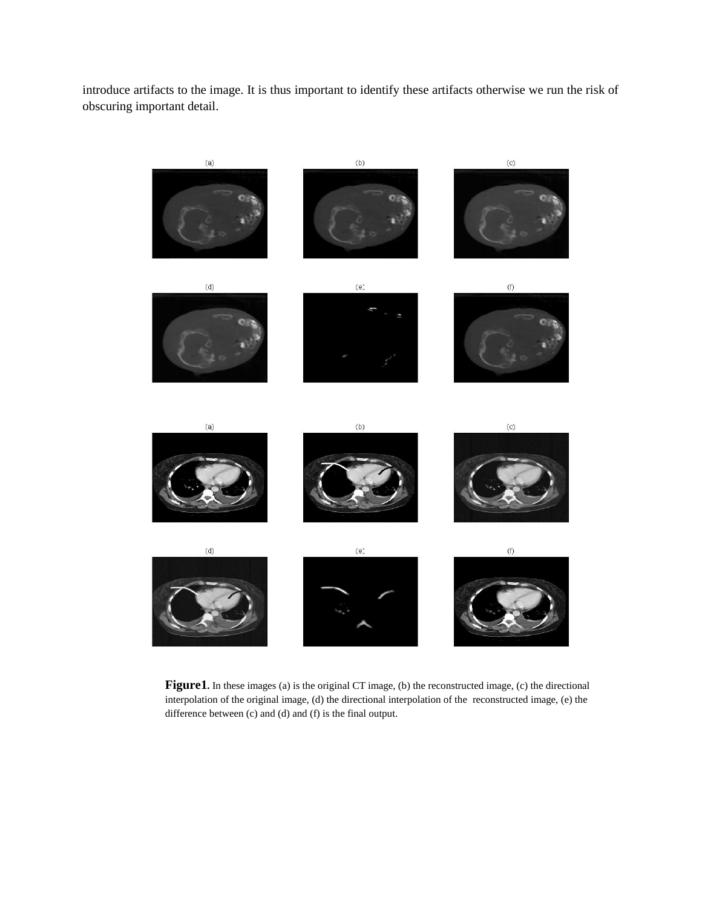introduce artifacts to the image. It is thus important to identify these artifacts otherwise we run the risk of obscuring important detail.



Figure1. In these images (a) is the original CT image, (b) the reconstructed image, (c) the directional interpolation of the original image, (d) the directional interpolation of the reconstructed image, (e) the difference between (c) and (d) and (f) is the final output.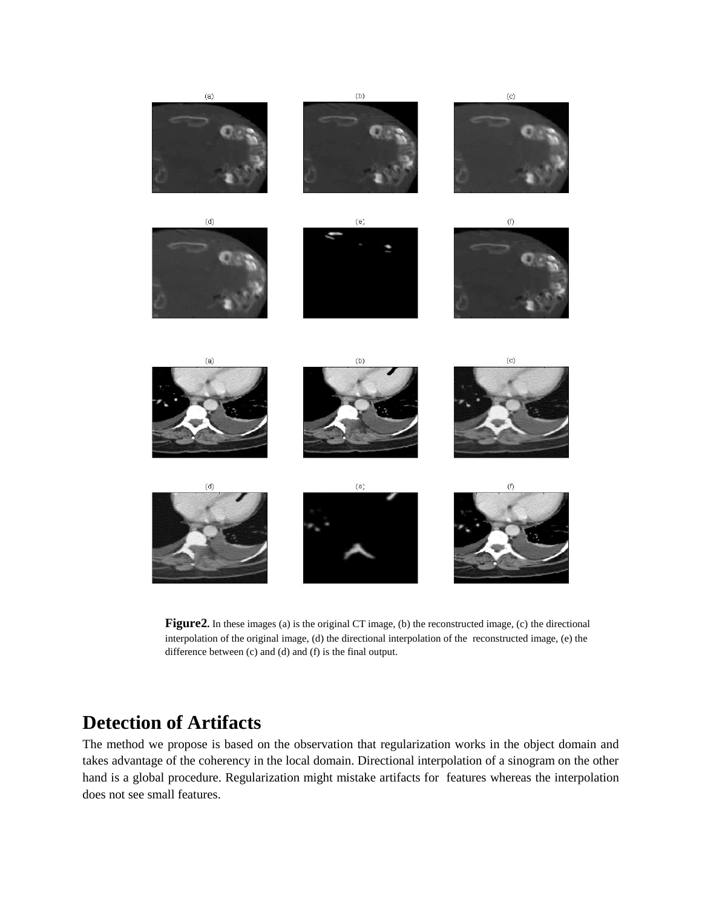

**Figure2.** In these images (a) is the original CT image, (b) the reconstructed image, (c) the directional interpolation of the original image, (d) the directional interpolation of the reconstructed image, (e) the difference between (c) and (d) and (f) is the final output.

# **Detection of Artifacts**

The method we propose is based on the observation that regularization works in the object domain and takes advantage of the coherency in the local domain. Directional interpolation of a sinogram on the other hand is a global procedure. Regularization might mistake artifacts for features whereas the interpolation does not see small features.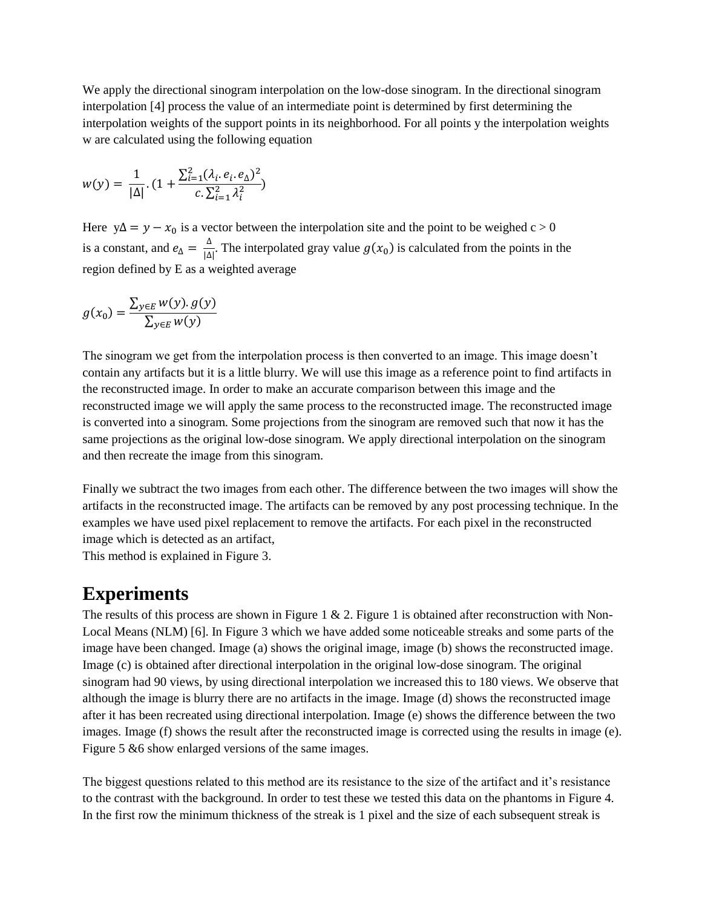We apply the directional sinogram interpolation on the low-dose sinogram. In the directional sinogram interpolation [4] process the value of an intermediate point is determined by first determining the interpolation weights of the support points in its neighborhood. For all points y the interpolation weights w are calculated using the following equation

$$
w(y) = \frac{1}{|\Delta|} \cdot (1 + \frac{\sum_{i=1}^{2} (\lambda_i e_i, e_{\Delta})^2}{c \cdot \sum_{i=1}^{2} \lambda_i^2})
$$

Here  $y\Delta = y - x_0$  is a vector between the interpolation site and the point to be weighed c > 0 is a constant, and  $e_{\Delta} = \frac{\Delta}{\Delta}$  $\frac{d}{|\Delta|}$ . The interpolated gray value  $g(x_0)$  is calculated from the points in the region defined by E as a weighted average

$$
g(x_0) = \frac{\sum_{y \in E} w(y). g(y)}{\sum_{y \in E} w(y)}
$$

The sinogram we get from the interpolation process is then converted to an image. This image doesn't contain any artifacts but it is a little blurry. We will use this image as a reference point to find artifacts in the reconstructed image. In order to make an accurate comparison between this image and the reconstructed image we will apply the same process to the reconstructed image. The reconstructed image is converted into a sinogram. Some projections from the sinogram are removed such that now it has the same projections as the original low-dose sinogram. We apply directional interpolation on the sinogram and then recreate the image from this sinogram.

Finally we subtract the two images from each other. The difference between the two images will show the artifacts in the reconstructed image. The artifacts can be removed by any post processing technique. In the examples we have used pixel replacement to remove the artifacts. For each pixel in the reconstructed image which is detected as an artifact,

This method is explained in Figure 3.

# **Experiments**

The results of this process are shown in Figure 1  $\&$  2. Figure 1 is obtained after reconstruction with Non-Local Means (NLM) [6]. In Figure 3 which we have added some noticeable streaks and some parts of the image have been changed. Image (a) shows the original image, image (b) shows the reconstructed image. Image (c) is obtained after directional interpolation in the original low-dose sinogram. The original sinogram had 90 views, by using directional interpolation we increased this to 180 views. We observe that although the image is blurry there are no artifacts in the image. Image (d) shows the reconstructed image after it has been recreated using directional interpolation. Image (e) shows the difference between the two images. Image (f) shows the result after the reconstructed image is corrected using the results in image (e). Figure 5 & 6 show enlarged versions of the same images.

The biggest questions related to this method are its resistance to the size of the artifact and it's resistance to the contrast with the background. In order to test these we tested this data on the phantoms in Figure 4. In the first row the minimum thickness of the streak is 1 pixel and the size of each subsequent streak is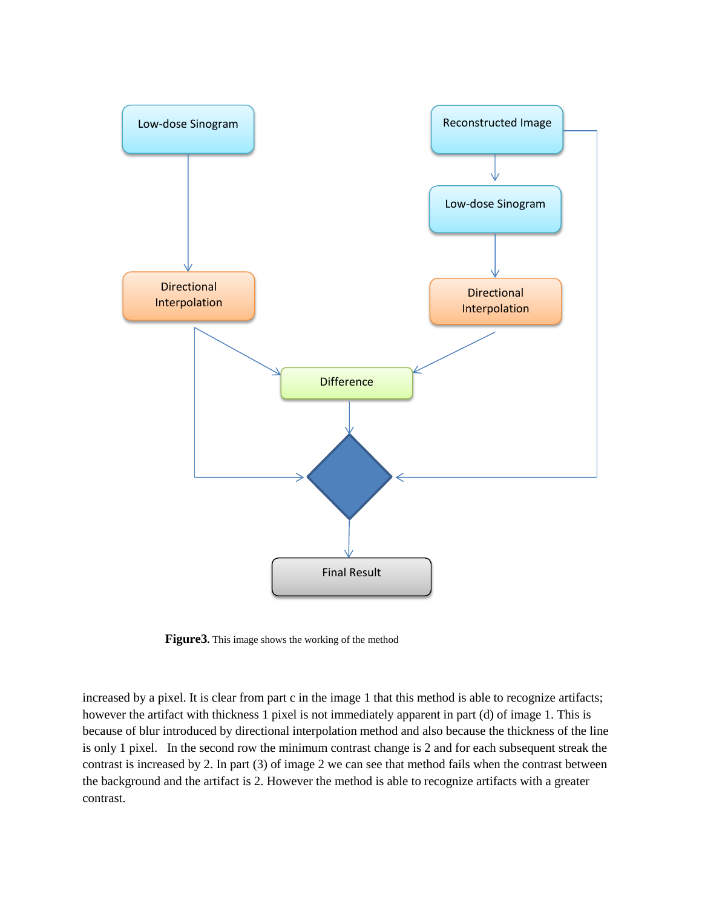

**Figure3.** This image shows the working of the method

increased by a pixel. It is clear from part c in the image 1 that this method is able to recognize artifacts; however the artifact with thickness 1 pixel is not immediately apparent in part (d) of image 1. This is because of blur introduced by directional interpolation method and also because the thickness of the line is only 1 pixel. In the second row the minimum contrast change is 2 and for each subsequent streak the contrast is increased by 2. In part (3) of image 2 we can see that method fails when the contrast between the background and the artifact is 2. However the method is able to recognize artifacts with a greater contrast.